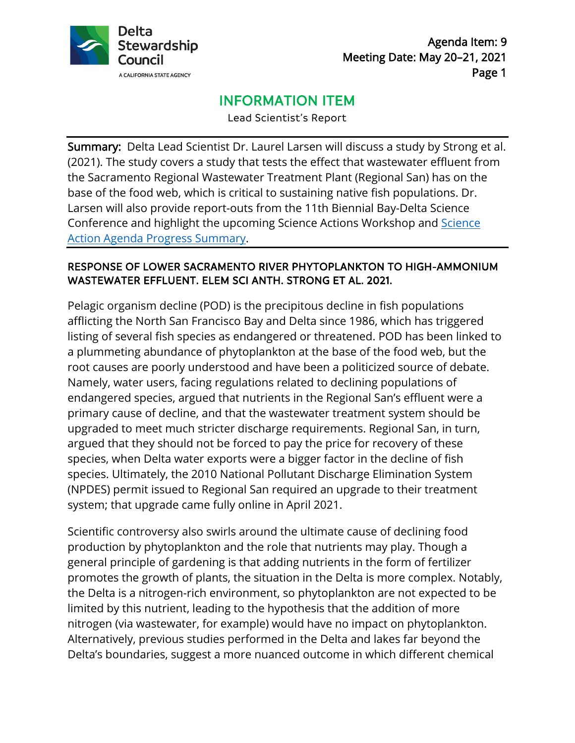

Agenda Item: 9 Meeting Date: May 20–21, 2021 Page 1

# INFORMATION ITEM

Lead Scientist's Report

Summary: Delta Lead Scientist Dr. Laurel Larsen will discuss a study by Strong et al. (2021). The study covers a study that tests the effect that wastewater effluent from the Sacramento Regional Wastewater Treatment Plant (Regional San) has on the base of the food web, which is critical to sustaining native fish populations. Dr. Larsen will also provide report-outs from the 11th Biennial Bay-Delta Science Conference and highlight the upcoming Science Actions Workshop and [Science](https://scienceactionagenda.deltacouncil.ca.gov/pdf/SAA-Progress-Summary.pdf)  [Action Agenda Progress Summary.](https://scienceactionagenda.deltacouncil.ca.gov/pdf/SAA-Progress-Summary.pdf)

#### RESPONSE OF LOWER SACRAMENTO RIVER PHYTOPLANKTON TO HIGH-AMMONIUM WASTEWATER EFFLUENT. ELEM SCI ANTH. STRONG ET AL. 2021.

Pelagic organism decline (POD) is the precipitous decline in fish populations afflicting the North San Francisco Bay and Delta since 1986, which has triggered listing of several fish species as endangered or threatened. POD has been linked to a plummeting abundance of phytoplankton at the base of the food web, but the root causes are poorly understood and have been a politicized source of debate. Namely, water users, facing regulations related to declining populations of endangered species, argued that nutrients in the Regional San's effluent were a primary cause of decline, and that the wastewater treatment system should be upgraded to meet much stricter discharge requirements. Regional San, in turn, argued that they should not be forced to pay the price for recovery of these species, when Delta water exports were a bigger factor in the decline of fish species. Ultimately, the 2010 National Pollutant Discharge Elimination System (NPDES) permit issued to Regional San required an upgrade to their treatment system; that upgrade came fully online in April 2021.

Scientific controversy also swirls around the ultimate cause of declining food production by phytoplankton and the role that nutrients may play. Though a general principle of gardening is that adding nutrients in the form of fertilizer promotes the growth of plants, the situation in the Delta is more complex. Notably, the Delta is a nitrogen-rich environment, so phytoplankton are not expected to be limited by this nutrient, leading to the hypothesis that the addition of more nitrogen (via wastewater, for example) would have no impact on phytoplankton. Alternatively, previous studies performed in the Delta and lakes far beyond the Delta's boundaries, suggest a more nuanced outcome in which different chemical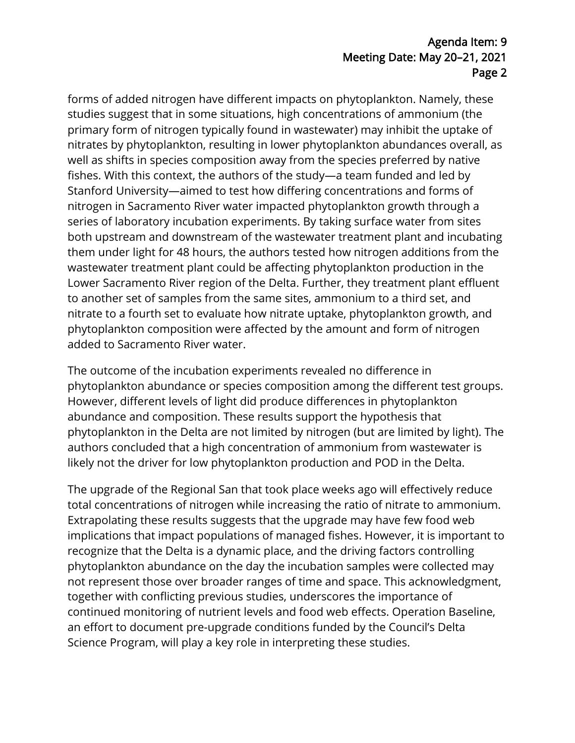#### Agenda Item: 9 Meeting Date: May 20–21, 2021 Page 2

forms of added nitrogen have different impacts on phytoplankton. Namely, these studies suggest that in some situations, high concentrations of ammonium (the primary form of nitrogen typically found in wastewater) may inhibit the uptake of nitrates by phytoplankton, resulting in lower phytoplankton abundances overall, as well as shifts in species composition away from the species preferred by native fishes. With this context, the authors of the study—a team funded and led by Stanford University—aimed to test how differing concentrations and forms of nitrogen in Sacramento River water impacted phytoplankton growth through a series of laboratory incubation experiments. By taking surface water from sites both upstream and downstream of the wastewater treatment plant and incubating them under light for 48 hours, the authors tested how nitrogen additions from the wastewater treatment plant could be affecting phytoplankton production in the Lower Sacramento River region of the Delta. Further, they treatment plant effluent to another set of samples from the same sites, ammonium to a third set, and nitrate to a fourth set to evaluate how nitrate uptake, phytoplankton growth, and phytoplankton composition were affected by the amount and form of nitrogen added to Sacramento River water.

The outcome of the incubation experiments revealed no difference in phytoplankton abundance or species composition among the different test groups. However, different levels of light did produce differences in phytoplankton abundance and composition. These results support the hypothesis that phytoplankton in the Delta are not limited by nitrogen (but are limited by light). The authors concluded that a high concentration of ammonium from wastewater is likely not the driver for low phytoplankton production and POD in the Delta.

The upgrade of the Regional San that took place weeks ago will effectively reduce total concentrations of nitrogen while increasing the ratio of nitrate to ammonium. Extrapolating these results suggests that the upgrade may have few food web implications that impact populations of managed fishes. However, it is important to recognize that the Delta is a dynamic place, and the driving factors controlling phytoplankton abundance on the day the incubation samples were collected may not represent those over broader ranges of time and space. This acknowledgment, together with conflicting previous studies, underscores the importance of continued monitoring of nutrient levels and food web effects. Operation Baseline, an effort to document pre-upgrade conditions funded by the Council's Delta Science Program, will play a key role in interpreting these studies.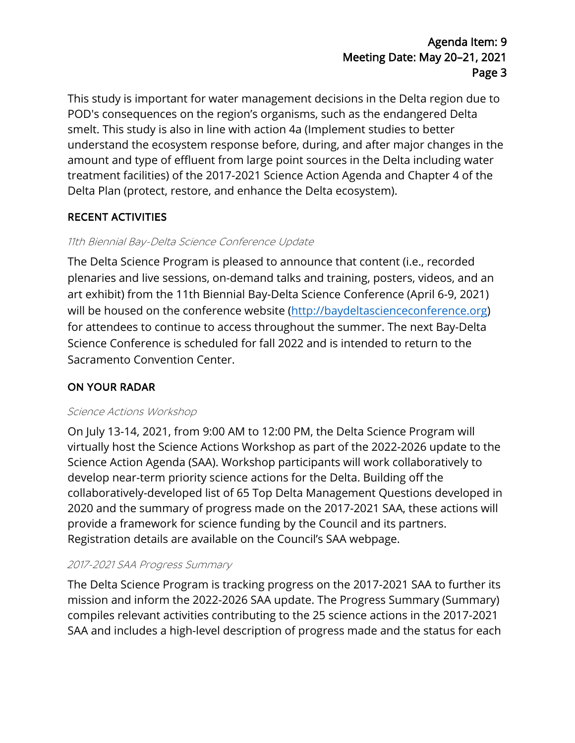## Agenda Item: 9 Meeting Date: May 20–21, 2021 Page 3

This study is important for water management decisions in the Delta region due to POD's consequences on the region's organisms, such as the endangered Delta smelt. This study is also in line with action 4a (Implement studies to better understand the ecosystem response before, during, and after major changes in the amount and type of effluent from large point sources in the Delta including water treatment facilities) of the 2017-2021 Science Action Agenda and Chapter 4 of the Delta Plan (protect, restore, and enhance the Delta ecosystem).

## RECENT ACTIVITIES

## 11th Biennial Bay-Delta Science Conference Update

The Delta Science Program is pleased to announce that content (i.e., recorded plenaries and live sessions, on-demand talks and training, posters, videos, and an art exhibit) from the 11th Biennial Bay-Delta Science Conference (April 6-9, 2021) will be housed on the conference website (http://baydeltascienceconference.org) for attendees to continue to access throughout the summer. The next Bay-Delta Science Conference is scheduled for fall 2022 and is intended to return to the Sacramento Convention Center.

## ON YOUR RADAR

#### Science Actions Workshop

On July 13-14, 2021, from 9:00 AM to 12:00 PM, the Delta Science Program will virtually host the Science Actions Workshop as part of the 2022-2026 update to the Science Action Agenda (SAA). Workshop participants will work collaboratively to develop near-term priority science actions for the Delta. Building off the collaboratively-developed list of 65 Top Delta Management Questions developed in 2020 and the summary of progress made on the 2017-2021 SAA, these actions will provide a framework for science funding by the Council and its partners. Registration details are available on the Council's SAA webpage.

#### 2017-2021 SAA Progress Summary

The Delta Science Program is tracking progress on the 2017-2021 SAA to further its mission and inform the 2022-2026 SAA update. The Progress Summary (Summary) compiles relevant activities contributing to the 25 science actions in the 2017-2021 SAA and includes a high-level description of progress made and the status for each